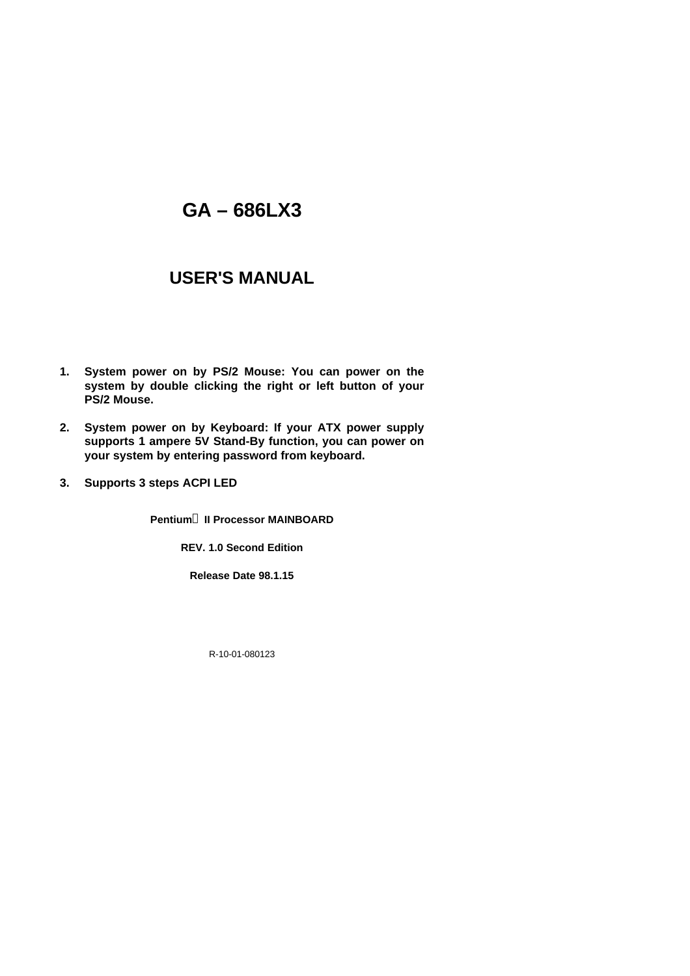# **GA – 686LX3**

# **USER'S MANUAL**

- **1. System power on by PS/2 Mouse: You can power on the system by double clicking the right or left button of your PS/2 Mouse.**
- **2. System power on by Keyboard: If your ATX power supply supports 1 ampere 5V Stand-By function, you can power on your system by entering password from keyboard.**
- **3. Supports 3 steps ACPI LED**

**Pentiumâ II Processor MAINBOARD**

**REV. 1.0 Second Edition**

**Release Date 98.1.15**

R-10-01-080123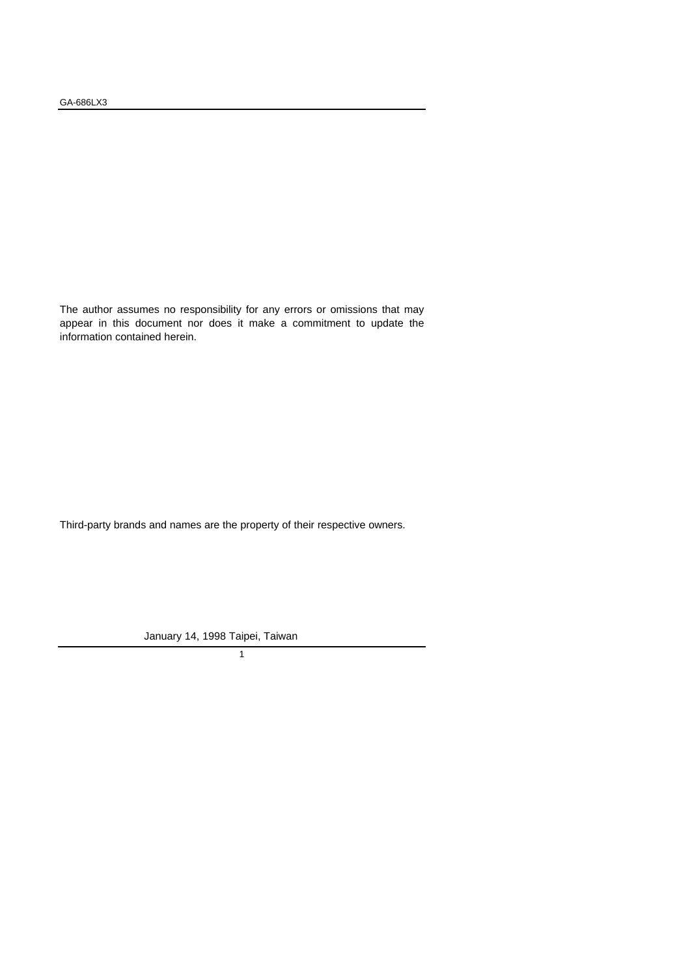The author assumes no responsibility for any errors or omissions that may appear in this document nor does it make a commitment to update the information contained herein.

Third-party brands and names are the property of their respective owners.

January 14, 1998 Taipei, Taiwan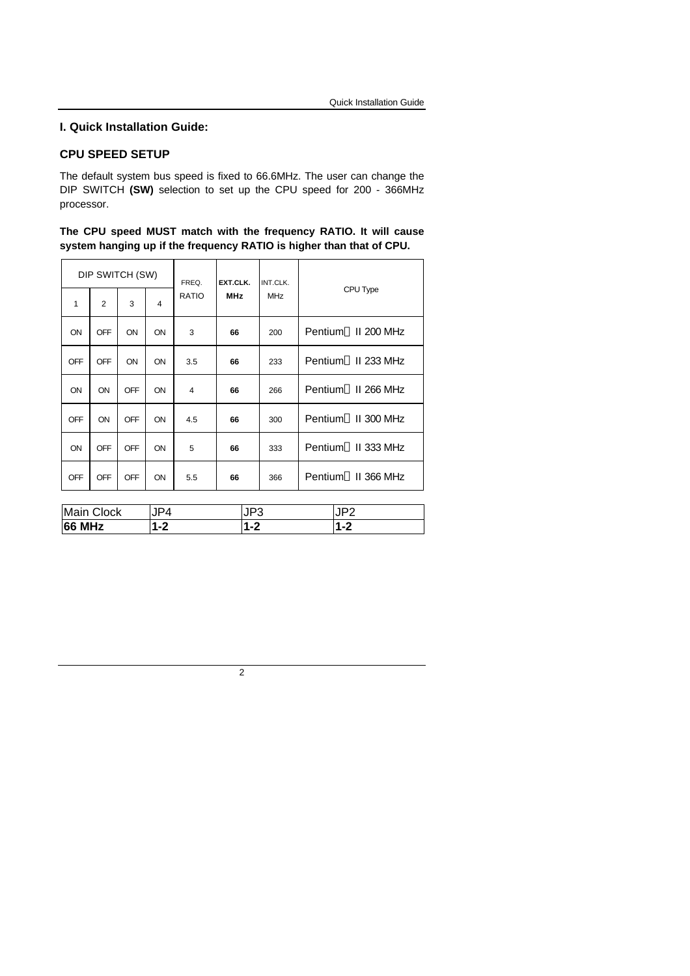#### **I. Quick Installation Guide:**

### **CPU SPEED SETUP**

The default system bus speed is fixed to 66.6MHz. The user can change the DIP SWITCH **(SW)** selection to set up the CPU speed for 200 - 366MHz processor.

**The CPU speed MUST match with the frequency RATIO. It will cause system hanging up if the frequency RATIO is higher than that of CPU.**

| DIP SWITCH (SW)      |                |     |    | FREQ.   | EXT.CLK.   | INT.CLK.   |                                 |
|----------------------|----------------|-----|----|---------|------------|------------|---------------------------------|
| 1                    | $\overline{2}$ | 3   | 4  | RATIO   | <b>MHz</b> | <b>MHz</b> | CPU Type                        |
| ON                   | OFF            | ON  | ON | 3       | 66         | 200        | Pentium <sup>®</sup> II 200 MHz |
| OFF                  | <b>OFF</b>     | ON  | ON | 3.5     | 66         | 233        | Pentium <sup>®</sup> II 233 MHz |
| ON                   | ON             | OFF | ON | 4       | 66         | 266        | Pentium <sup>®</sup> II 266 MHz |
| <b>OFF</b>           | ON             | OFF | ON | 4.5     | 66         | 300        | Pentium <sup>®</sup> II 300 MHz |
| ON                   | <b>OFF</b>     | OFF | ON | 5       | 66         | 333        | Pentium <sup>®</sup> II 333 MHz |
| <b>OFF</b>           | <b>OFF</b>     | OFF | ON | 5.5     | 66         | 366        | Pentium <sup>®</sup> II 366 MHz |
|                      |                |     |    |         |            |            |                                 |
| Main Clock<br>JP4    |                |     |    | JP3     |            |            | JP2                             |
| <b>66 MHz</b><br>1-2 |                |     |    | $1 - 2$ |            | $1 - 2$    |                                 |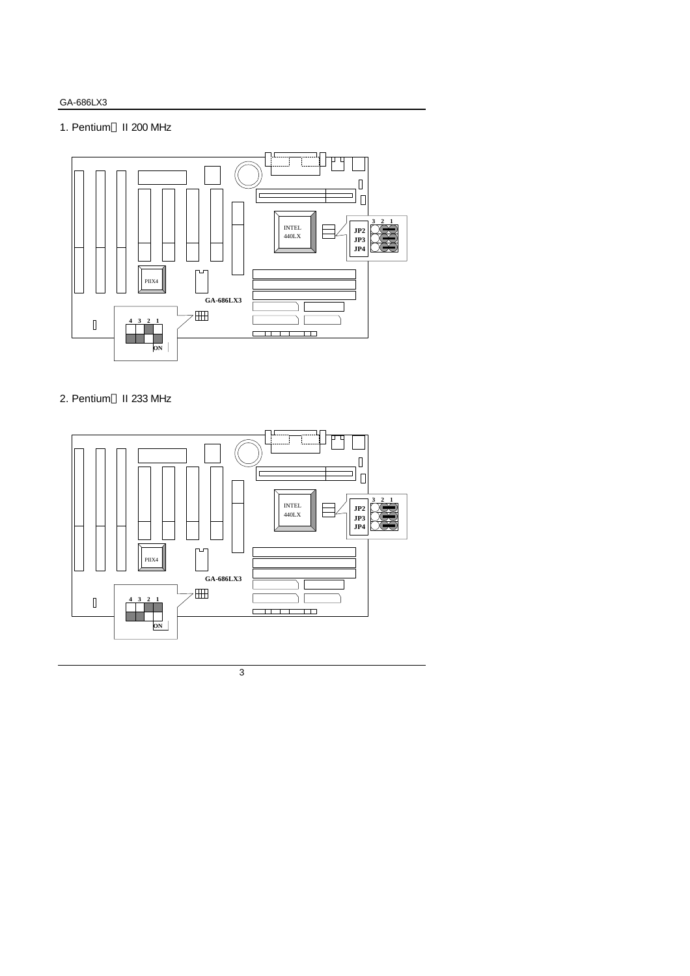## 1. Pentium<sup>®</sup> II 200 MHz



# 2. Pentium<sup>®</sup> II 233 MHz

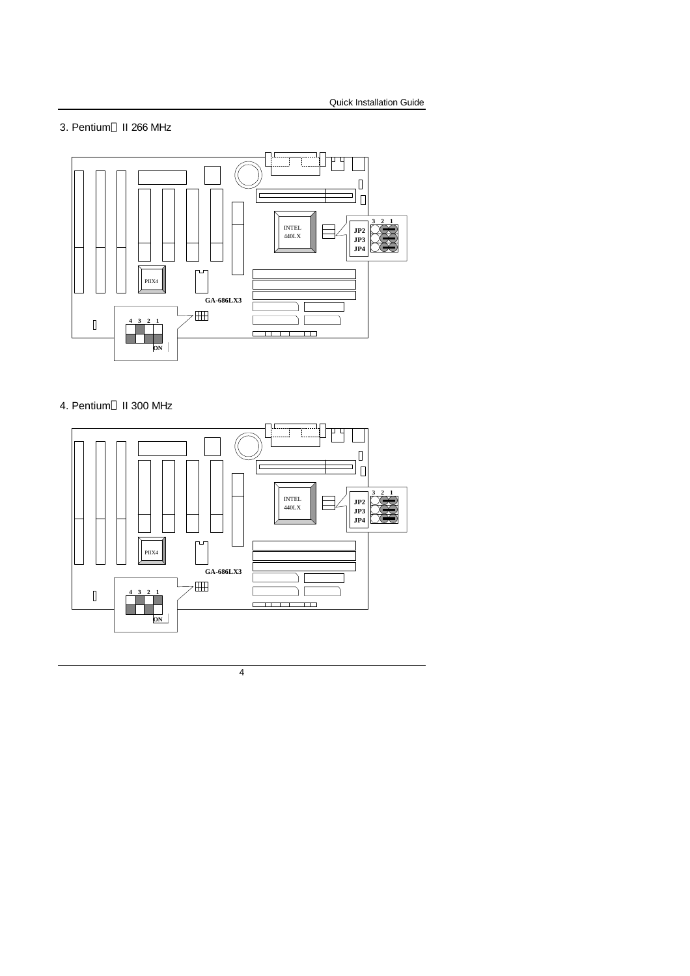### 3. Pentium<sup>®</sup> II 266 MHz



# 4. Pentium<sup>®</sup> II 300 MHz

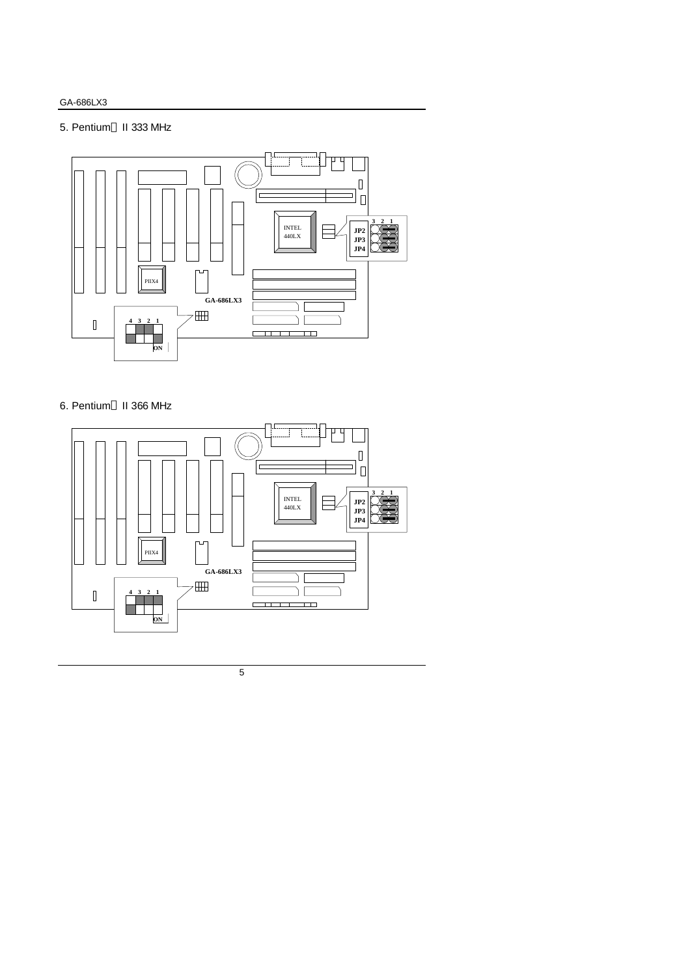## 5. Pentium<sup>®</sup> II 333 MHz



# 6. Pentium<sup>®</sup> II 366 MHz

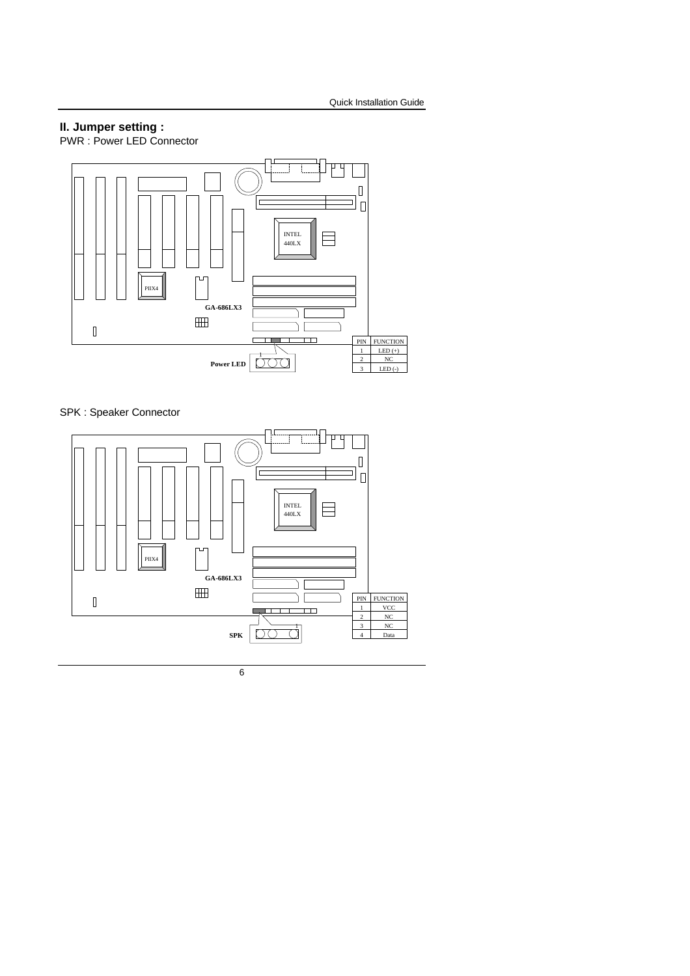# **II. Jumper setting :**

PWR : Power LED Connector



SPK : Speaker Connector

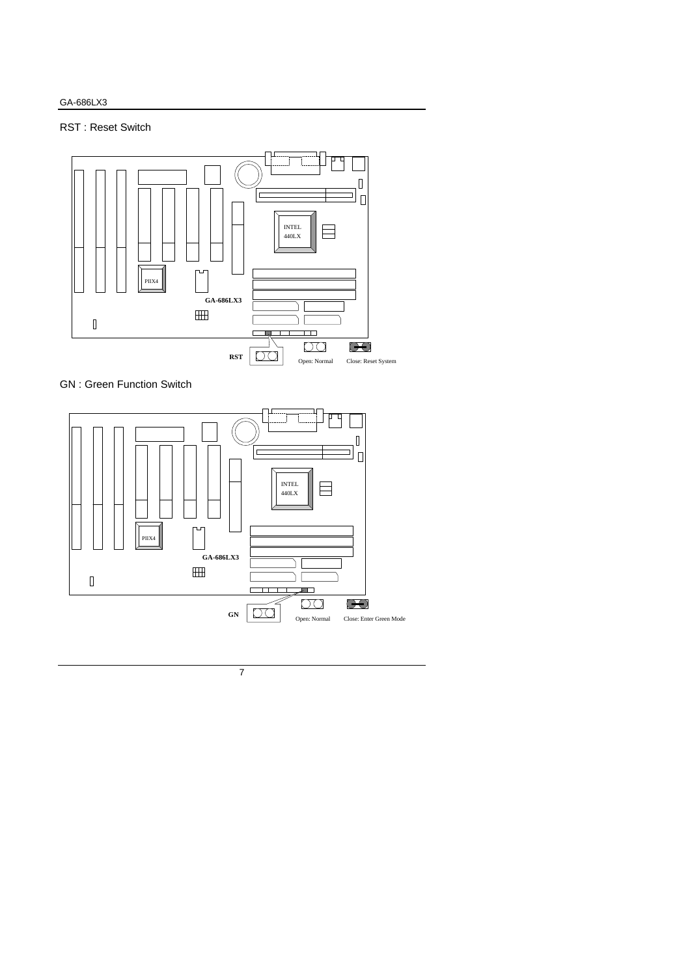# RST : Reset Switch



GN : Green Function Switch

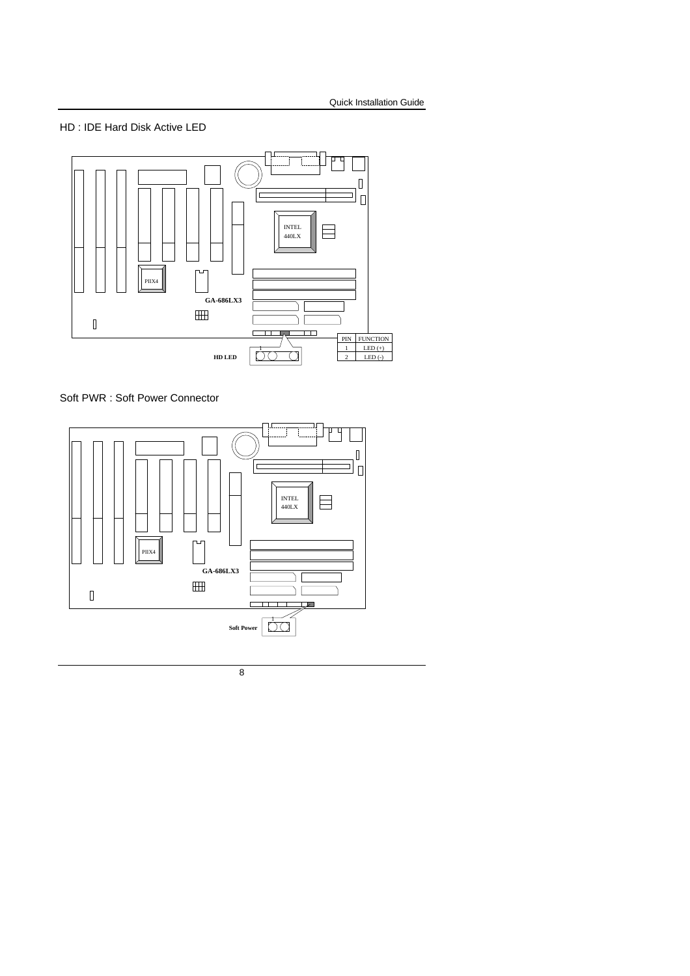### HD : IDE Hard Disk Active LED



Soft PWR : Soft Power Connector

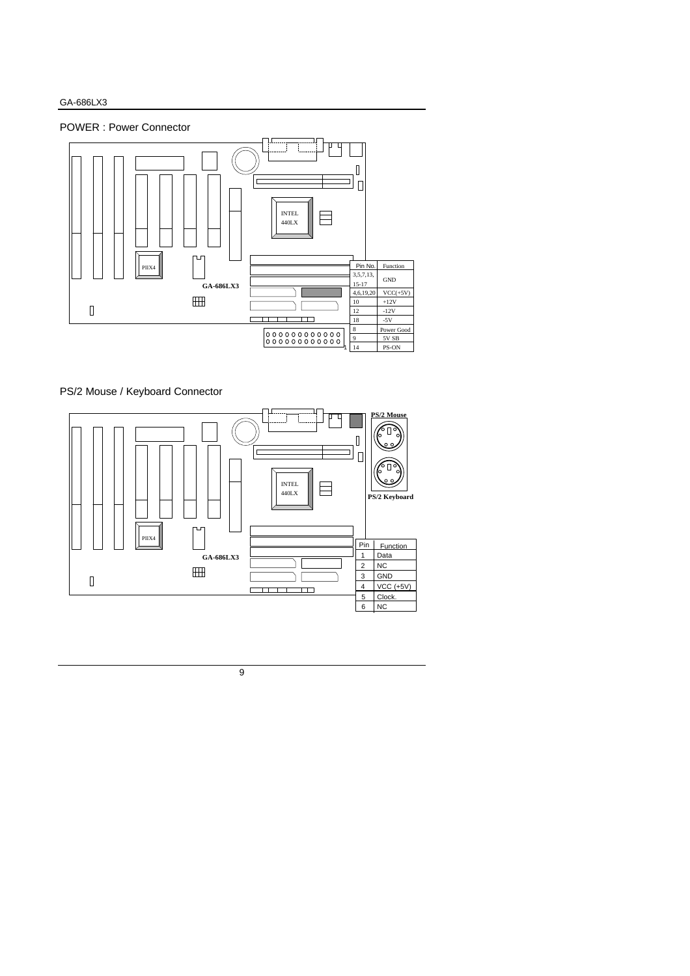



## PS/2 Mouse / Keyboard Connector

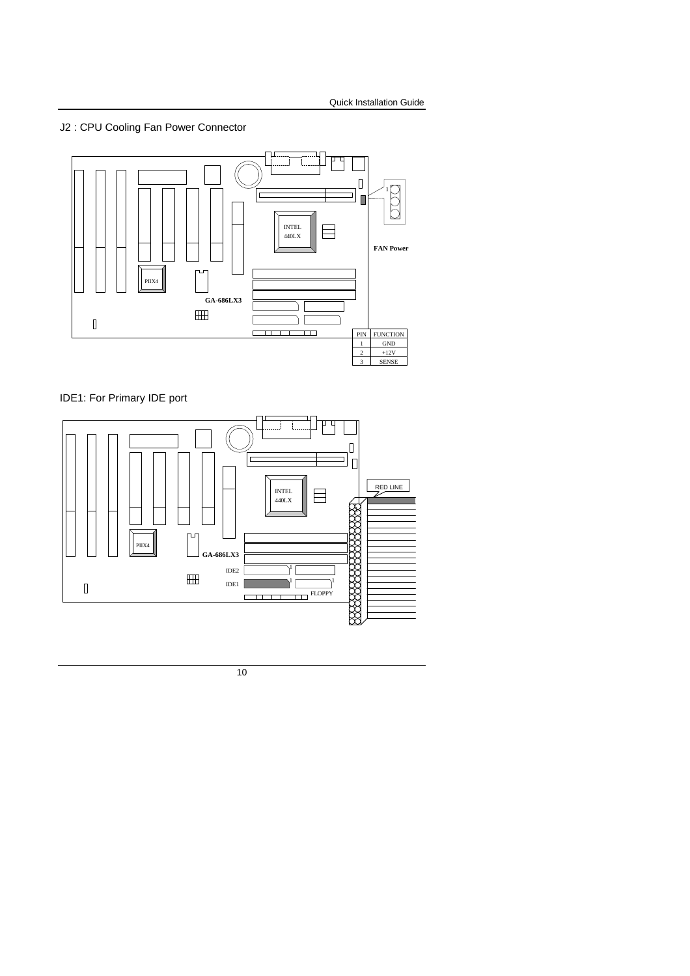# J2 : CPU Cooling Fan Power Connector



# IDE1: For Primary IDE port

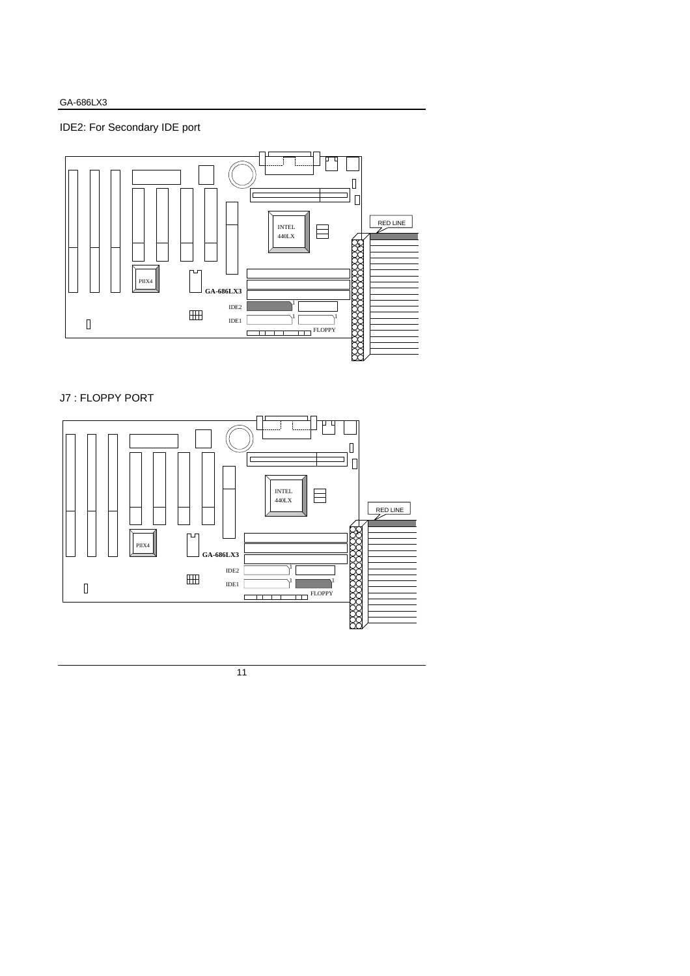

# J7 : FLOPPY PORT

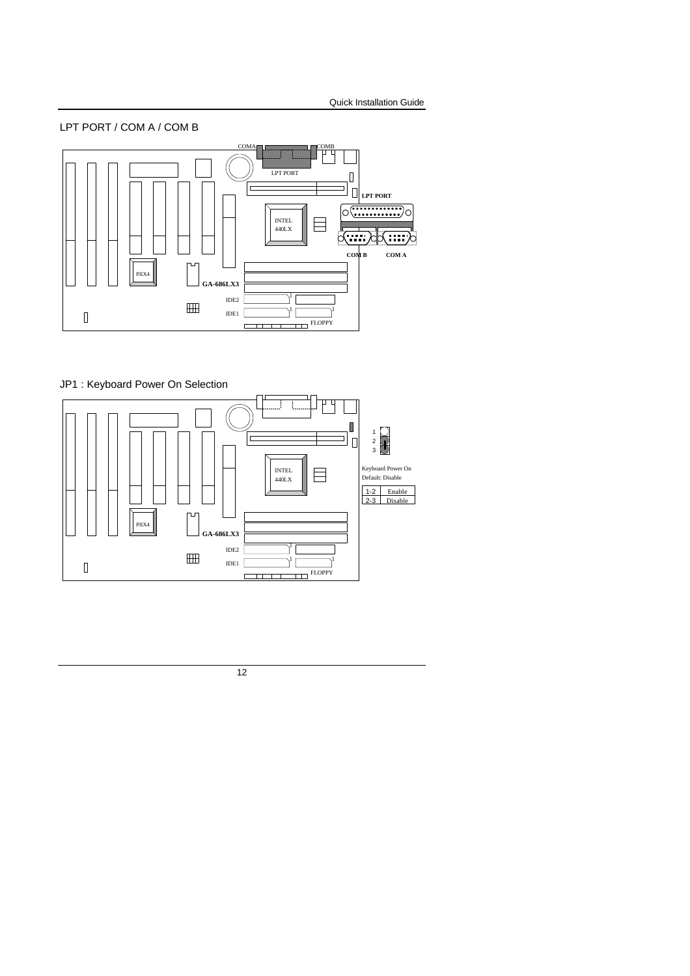



# JP1 : Keyboard Power On Selection

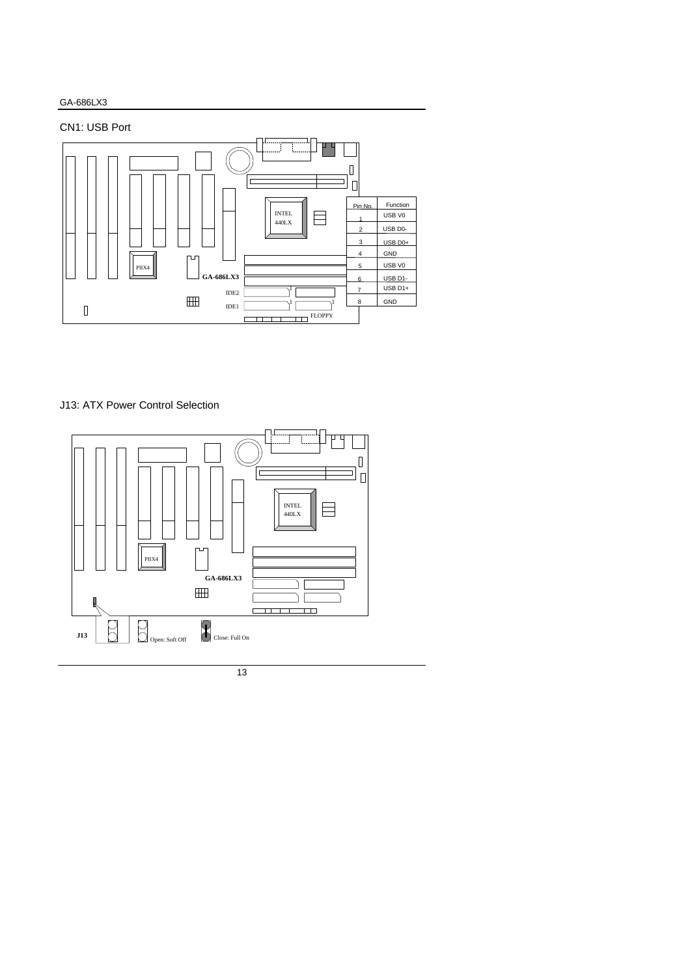# CN1: USB Port



# J13: ATX Power Control Selection